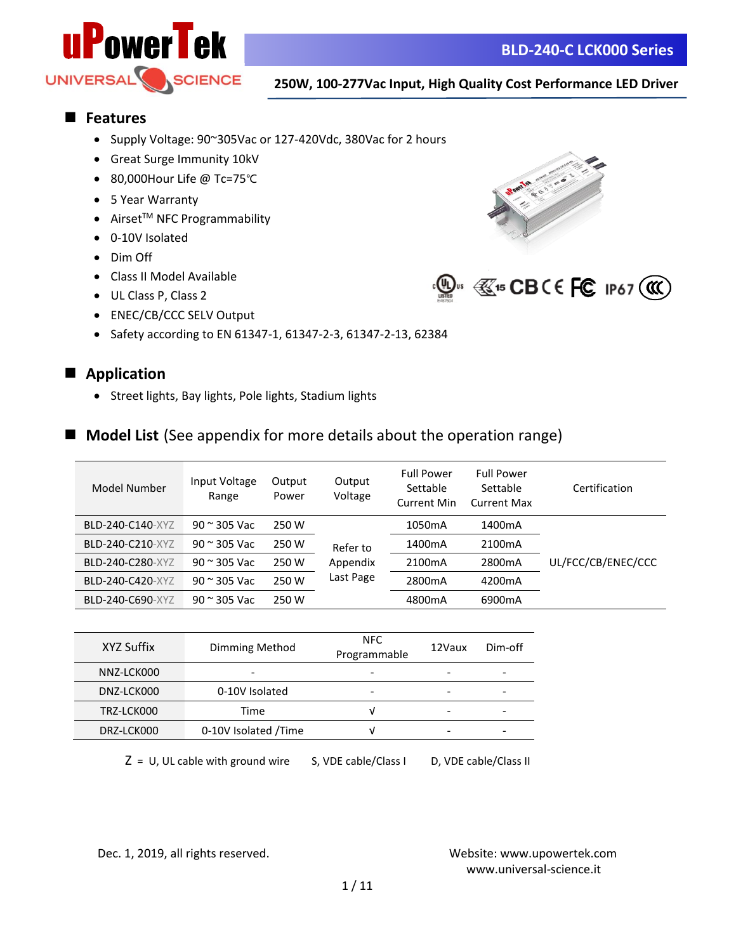

 **250W, 100-277Vac Input, High Quality Cost Performance LED Driver**

#### ■ **Features**

- Supply Voltage: 90~305Vac or 127-420Vdc, 380Vac for 2 hours
- Great Surge Immunity 10kV
- 80,000Hour Life @ Tc=75℃
- 5 Year Warranty
- $\bullet$  Airset<sup>TM</sup> NFC Programmability
- 0-10V Isolated
- Dim Off
- Class II Model Available
- UL Class P, Class 2
- ENEC/CB/CCC SELV Output
- Safety according to EN 61347-1, 61347-2-3, 61347-2-13, 62384





#### **■ Application**

• Street lights, Bay lights, Pole lights, Stadium lights

#### ■ **Model List** (See appendix for more details about the operation range)

| Model Number     | Input Voltage<br>Range | Output<br>Power | Output<br>Voltage | <b>Full Power</b><br>Settable<br><b>Current Min</b> | <b>Full Power</b><br>Settable<br><b>Current Max</b> | Certification      |
|------------------|------------------------|-----------------|-------------------|-----------------------------------------------------|-----------------------------------------------------|--------------------|
| BLD-240-C140-XYZ | $90$ $\approx$ 305 Vac | 250 W           |                   | 1050 <sub>m</sub> A                                 | 1400 <sub>m</sub> A                                 |                    |
| BLD-240-C210-XYZ | $90 \approx 305$ Vac   | 250 W           | Refer to          | 1400 <sub>m</sub> A                                 | 2100 <sub>m</sub> A                                 |                    |
| BLD-240-C280-XYZ | $90 \approx 305$ Vac   | 250 W           | Appendix          | 2100 <sub>m</sub> A                                 | 2800mA                                              | UL/FCC/CB/ENEC/CCC |
| BLD-240-C420-XYZ | $90 \approx 305$ Vac   | 250W            | Last Page         | 2800mA                                              | 4200 <sub>m</sub> A                                 |                    |
| BLD-240-C690-XYZ | $90 \approx 305$ Vac   | 250 W           |                   | 4800 <sub>m</sub> A                                 | 6900mA                                              |                    |

| XYZ Suffix | Dimming Method       | NFC.<br>Programmable | 12Vaux | Dim-off |
|------------|----------------------|----------------------|--------|---------|
| NNZ-LCK000 |                      |                      |        |         |
| DNZ-LCK000 | 0-10V Isolated       | -                    |        |         |
| TRZ-LCK000 | Time                 | ν                    |        | -       |
| DRZ-LCK000 | 0-10V Isolated /Time | ν                    | ۰      | -       |

 $Z = U$ , UL cable with ground wire S, VDE cable/Class I D, VDE cable/Class II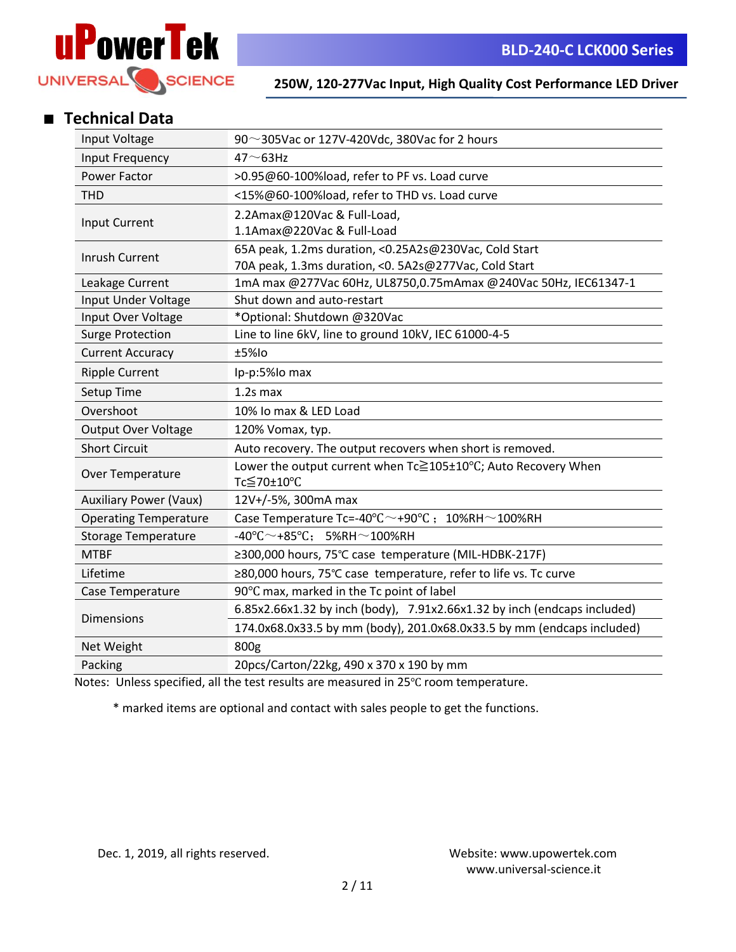

## ■ **Technical Data**

| Input Voltage                 | 90 $\sim$ 305Vac or 127V-420Vdc, 380Vac for 2 hours                         |  |  |  |  |  |
|-------------------------------|-----------------------------------------------------------------------------|--|--|--|--|--|
| Input Frequency               | $47 \sim 63$ Hz                                                             |  |  |  |  |  |
| Power Factor                  | >0.95@60-100%load, refer to PF vs. Load curve                               |  |  |  |  |  |
| <b>THD</b>                    | <15%@60-100%load, refer to THD vs. Load curve                               |  |  |  |  |  |
|                               | 2.2Amax@120Vac & Full-Load,                                                 |  |  |  |  |  |
| Input Current                 | 1.1Amax@220Vac & Full-Load                                                  |  |  |  |  |  |
| <b>Inrush Current</b>         | 65A peak, 1.2ms duration, <0.25A2s@230Vac, Cold Start                       |  |  |  |  |  |
|                               | 70A peak, 1.3ms duration, < 0. 5A2s@277Vac, Cold Start                      |  |  |  |  |  |
| Leakage Current               | 1mA max @277Vac 60Hz, UL8750,0.75mAmax @240Vac 50Hz, IEC61347-1             |  |  |  |  |  |
| Input Under Voltage           | Shut down and auto-restart                                                  |  |  |  |  |  |
| Input Over Voltage            | *Optional: Shutdown @320Vac                                                 |  |  |  |  |  |
| <b>Surge Protection</b>       | Line to line 6kV, line to ground 10kV, IEC 61000-4-5                        |  |  |  |  |  |
| <b>Current Accuracy</b>       | ±5%lo                                                                       |  |  |  |  |  |
| <b>Ripple Current</b>         | Ip-p:5%Io max                                                               |  |  |  |  |  |
| Setup Time                    | $1.2s$ max                                                                  |  |  |  |  |  |
| Overshoot                     | 10% Io max & LED Load                                                       |  |  |  |  |  |
| <b>Output Over Voltage</b>    | 120% Vomax, typ.                                                            |  |  |  |  |  |
| <b>Short Circuit</b>          | Auto recovery. The output recovers when short is removed.                   |  |  |  |  |  |
| Over Temperature              | Lower the output current when Tc≧105±10°C; Auto Recovery When<br>Tc≦70±10°C |  |  |  |  |  |
| <b>Auxiliary Power (Vaux)</b> | 12V+/-5%, 300mA max                                                         |  |  |  |  |  |
| <b>Operating Temperature</b>  | Case Temperature Tc=-40°C $\sim$ +90°C; 10%RH $\sim$ 100%RH                 |  |  |  |  |  |
| <b>Storage Temperature</b>    | -40°C $\sim$ +85°C:<br>$5\%$ RH $\sim$ 100%RH                               |  |  |  |  |  |
| <b>MTBF</b>                   | ≥300,000 hours, 75°C case temperature (MIL-HDBK-217F)                       |  |  |  |  |  |
| Lifetime                      | ≥80,000 hours, 75°C case temperature, refer to life vs. Tc curve            |  |  |  |  |  |
| Case Temperature              | 90°C max, marked in the Tc point of label                                   |  |  |  |  |  |
| <b>Dimensions</b>             | 6.85x2.66x1.32 by inch (body), 7.91x2.66x1.32 by inch (endcaps included)    |  |  |  |  |  |
|                               | 174.0x68.0x33.5 by mm (body), 201.0x68.0x33.5 by mm (endcaps included)      |  |  |  |  |  |
| Net Weight                    | 800g                                                                        |  |  |  |  |  |
| Packing                       | 20pcs/Carton/22kg, 490 x 370 x 190 by mm                                    |  |  |  |  |  |

Notes: Unless specified, all the test results are measured in 25℃ room temperature.

\* marked items are optional and contact with sales people to get the functions.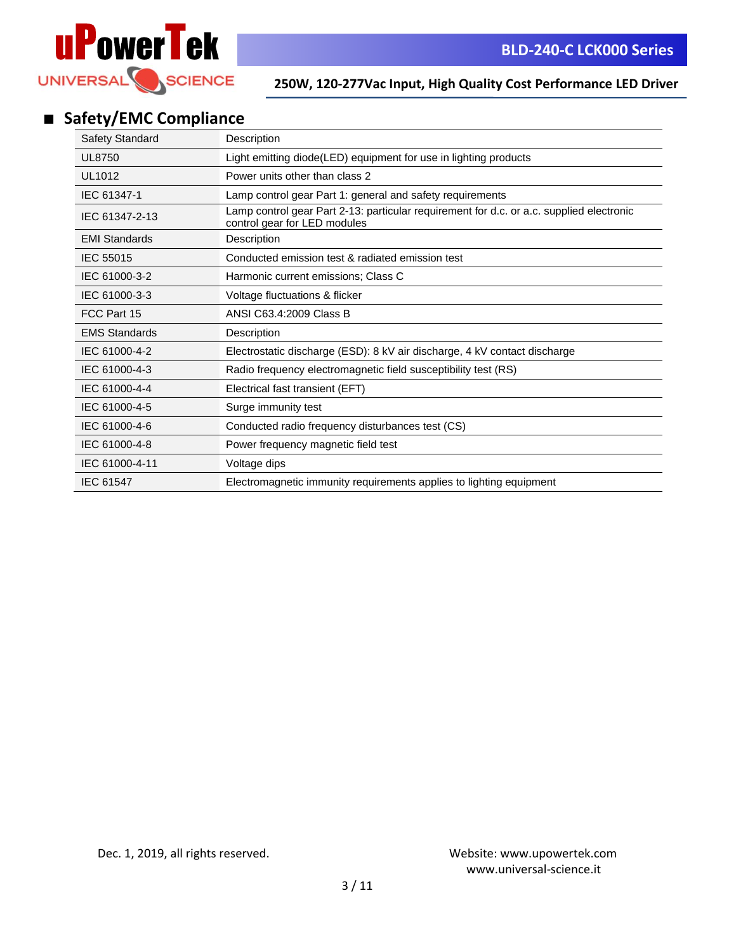

# ■ **Safety/EMC Compliance**

| Safety Standard      | Description                                                                                                              |
|----------------------|--------------------------------------------------------------------------------------------------------------------------|
| <b>UL8750</b>        | Light emitting diode(LED) equipment for use in lighting products                                                         |
| UL1012               | Power units other than class 2                                                                                           |
| IEC 61347-1          | Lamp control gear Part 1: general and safety requirements                                                                |
| IEC 61347-2-13       | Lamp control gear Part 2-13: particular requirement for d.c. or a.c. supplied electronic<br>control gear for LED modules |
| <b>EMI Standards</b> | Description                                                                                                              |
| <b>IEC 55015</b>     | Conducted emission test & radiated emission test                                                                         |
| IEC 61000-3-2        | Harmonic current emissions; Class C                                                                                      |
| IEC 61000-3-3        | Voltage fluctuations & flicker                                                                                           |
| FCC Part 15          | ANSI C63.4:2009 Class B                                                                                                  |
| <b>EMS Standards</b> | Description                                                                                                              |
| IEC 61000-4-2        | Electrostatic discharge (ESD): 8 kV air discharge, 4 kV contact discharge                                                |
| IEC 61000-4-3        | Radio frequency electromagnetic field susceptibility test (RS)                                                           |
| IEC 61000-4-4        | Electrical fast transient (EFT)                                                                                          |
| IEC 61000-4-5        | Surge immunity test                                                                                                      |
| IEC 61000-4-6        | Conducted radio frequency disturbances test (CS)                                                                         |
| IEC 61000-4-8        | Power frequency magnetic field test                                                                                      |
| IEC 61000-4-11       | Voltage dips                                                                                                             |
| IEC 61547            | Electromagnetic immunity requirements applies to lighting equipment                                                      |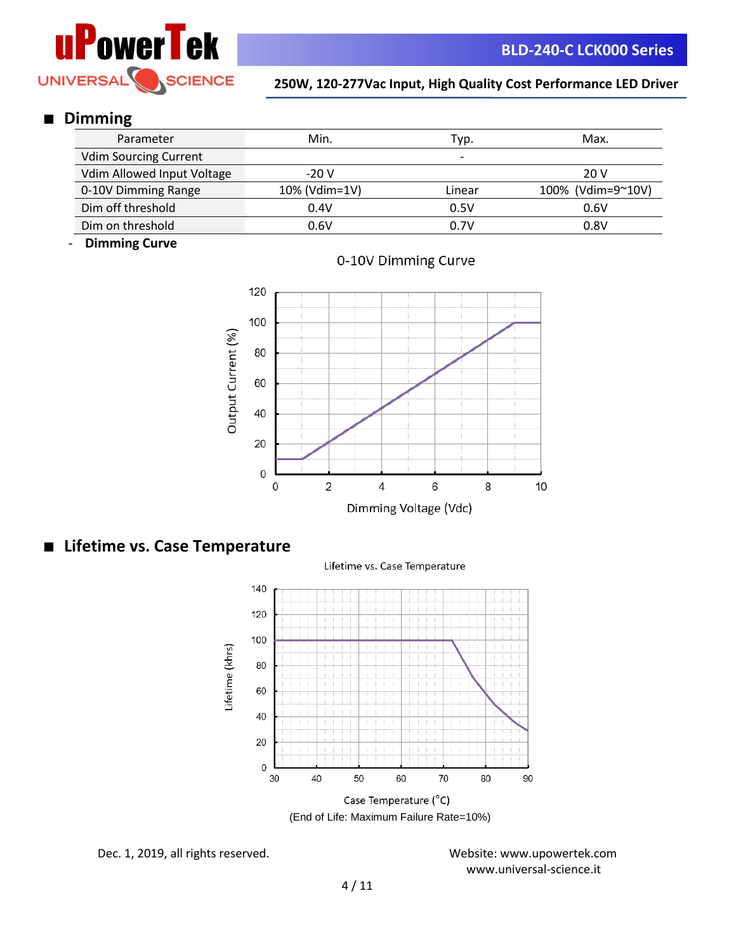

### ■ **Dimming**

| Parameter                    | Min.          | Typ.                     | Max.              |
|------------------------------|---------------|--------------------------|-------------------|
| <b>Vdim Sourcing Current</b> |               | $\overline{\phantom{0}}$ |                   |
| Vdim Allowed Input Voltage   | $-20V$        |                          | 20 V              |
| 0-10V Dimming Range          | 10% (Vdim=1V) | Linear                   | 100% (Vdim=9~10V) |
| Dim off threshold            | 0.4V          | 0.5V                     | 0.6V              |
| Dim on threshold             | 0.6V          | 0.7V                     | 0.8V              |

- **Dimming Curve**



### ■ **Lifetime vs. Case Temperature**

Lifetime vs. Case Temperature



(End of Life: Maximum Failure Rate=10%)

Dec. 1, 2019, all rights reserved. Website:<www.upowertek.com> www.universal-science.it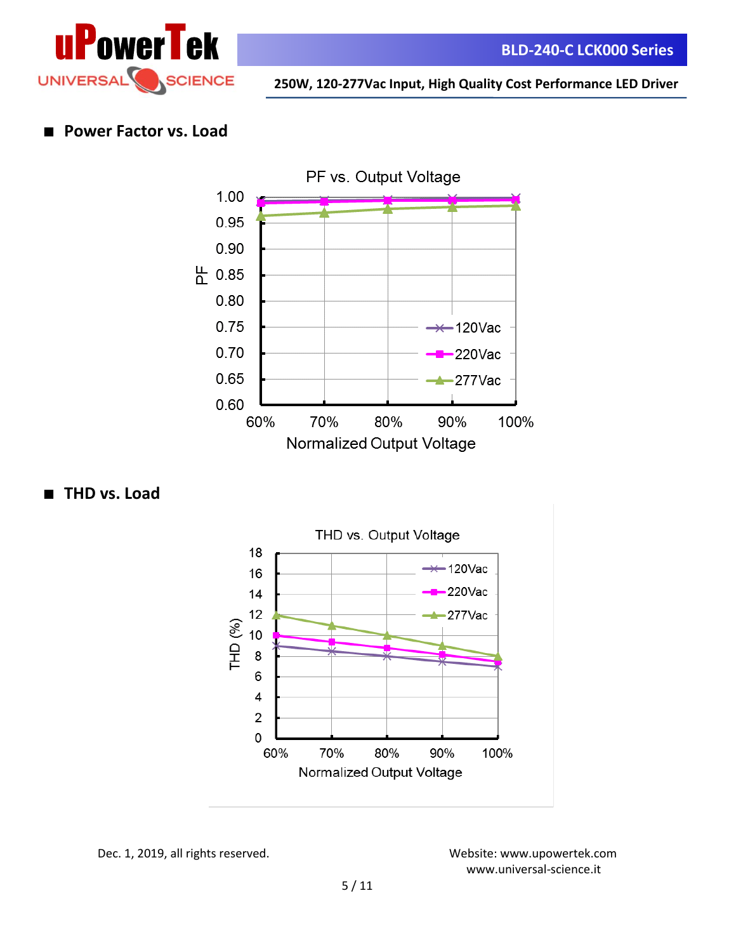

 **250W, 120-277Vac Input, High Quality Cost Performance LED Driver**

## ■ **Power Factor vs. Load**



■ **THD vs. Load** 



Dec. 1, 2019, all rights reserved. Website:<www.upowertek.com>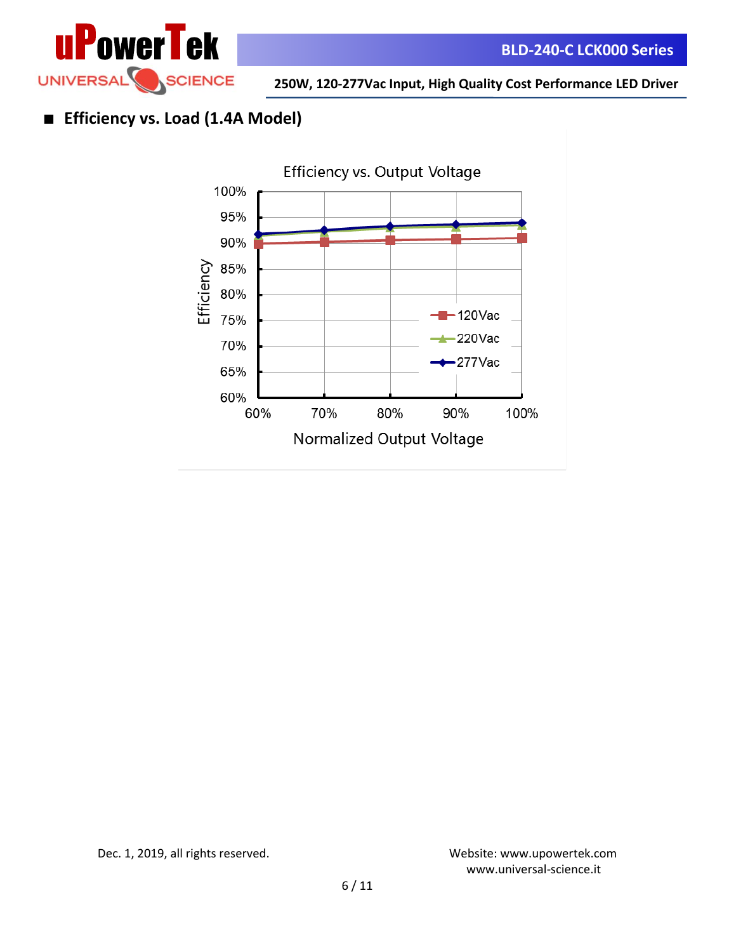

 **250W, 120-277Vac Input, High Quality Cost Performance LED Driver**

# ■ **Efficiency vs. Load (1.4A Model)**

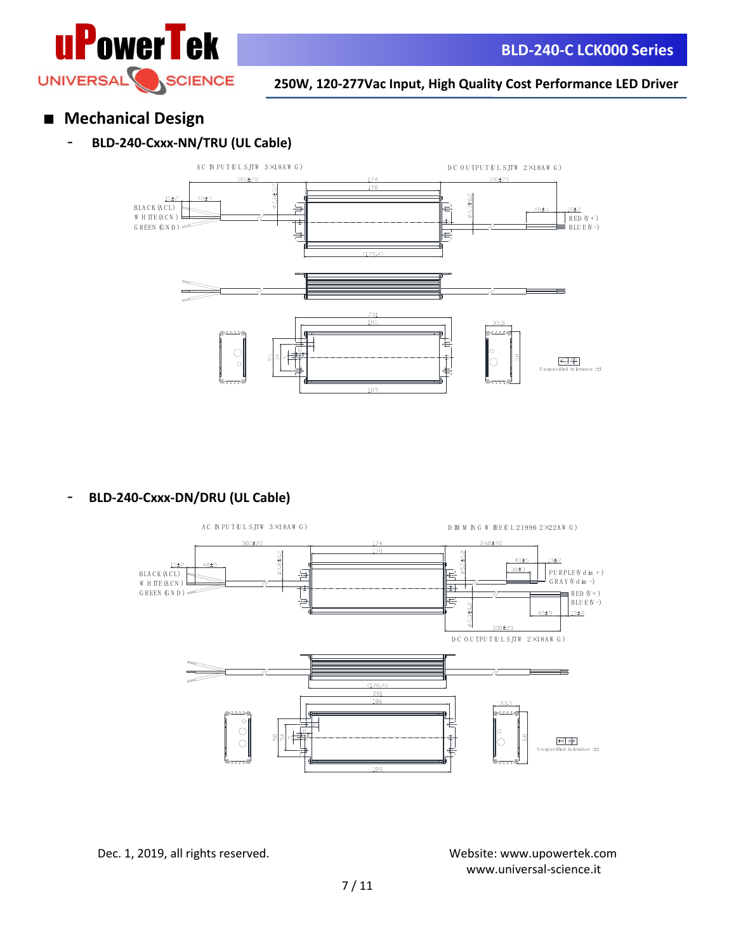

## ■ **Mechanical Design**

- **BLD-240-Cxxx-NN/TRU (UL Cable)**



- **BLD-240-Cxxx-DN/DRU (UL Cable)**



Dec. 1, 2019, all rights reserved. Website:<www.upowertek.com>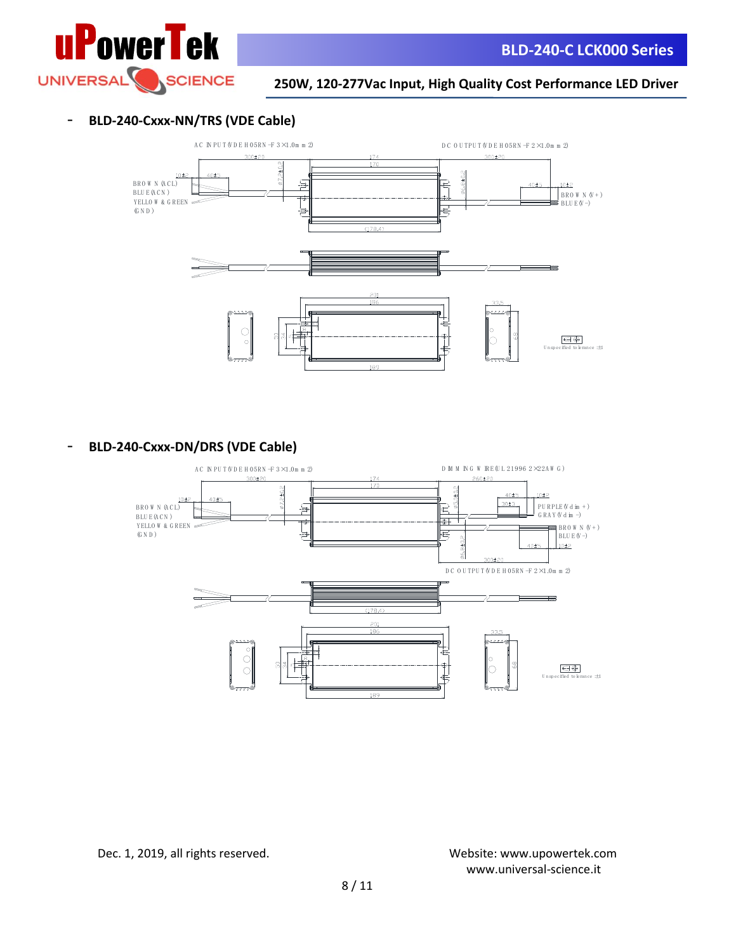

#### **250W, 120-277Vac Input, High Quality Cost Performance LED Driver**

## - **BLD-240-Cxxx-NN/TRS (VDE Cable)**



- **BLD-240-Cxxx-DN/DRS (VDE Cable)**

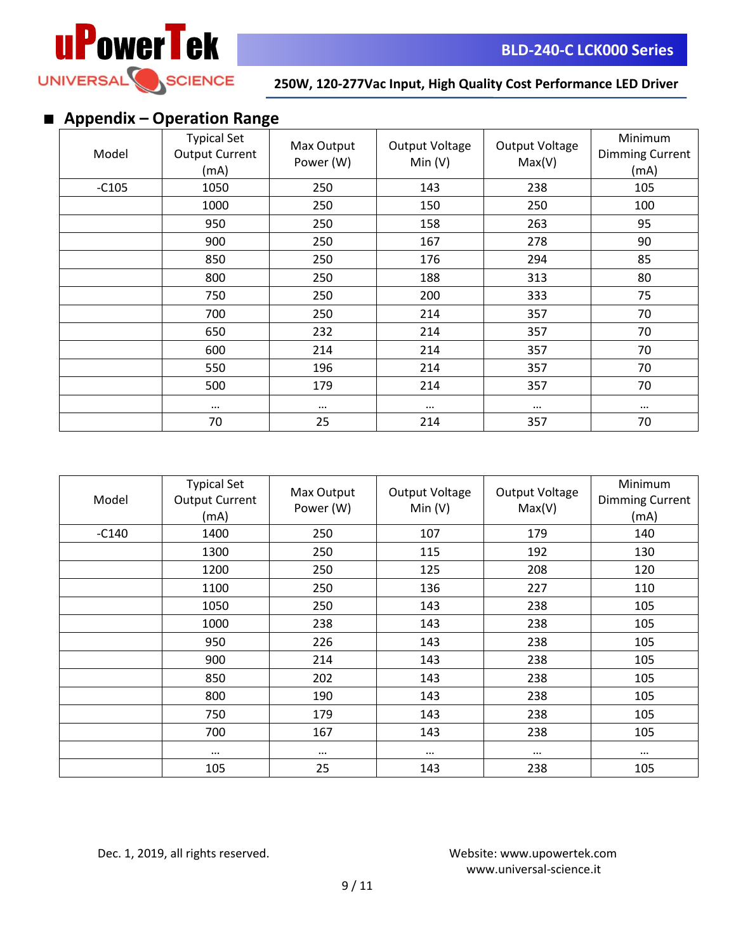

## ■ **Appendix – Operation Range**

| Model   | <b>Typical Set</b><br><b>Output Current</b><br>(mA) | Max Output<br>Power (W) | <b>Output Voltage</b><br>Min(V) | Output Voltage<br>Max(V) | Minimum<br><b>Dimming Current</b><br>(mA) |
|---------|-----------------------------------------------------|-------------------------|---------------------------------|--------------------------|-------------------------------------------|
| $-C105$ | 1050                                                | 250                     | 143                             | 238                      | 105                                       |
|         | 1000                                                | 250                     | 150                             | 250                      | 100                                       |
|         | 950                                                 | 250                     | 158                             | 263                      | 95                                        |
|         | 900                                                 | 250                     | 167                             | 278                      | 90                                        |
|         | 850                                                 | 250                     | 176                             | 294                      | 85                                        |
|         | 800                                                 | 250                     | 188                             | 313                      | 80                                        |
|         | 750                                                 | 250                     | 200                             | 333                      | 75                                        |
|         | 700                                                 | 250                     | 214                             | 357                      | 70                                        |
|         | 650                                                 | 232                     | 214                             | 357                      | 70                                        |
|         | 600                                                 | 214                     | 214                             | 357                      | 70                                        |
|         | 550                                                 | 196                     | 214                             | 357                      | 70                                        |
|         | 500                                                 | 179                     | 214                             | 357                      | 70                                        |
|         | $\cdots$                                            | $\cdots$                | $\cdots$                        | $\cdots$                 | $\cdots$                                  |
|         | 70                                                  | 25                      | 214                             | 357                      | 70                                        |

| Model   | <b>Typical Set</b><br><b>Output Current</b><br>(mA) | Max Output<br>Power (W) | Output Voltage<br>Min(V) | Output Voltage<br>Max(V) | Minimum<br><b>Dimming Current</b><br>(mA) |
|---------|-----------------------------------------------------|-------------------------|--------------------------|--------------------------|-------------------------------------------|
| $-C140$ | 1400                                                | 250                     | 107                      | 179                      | 140                                       |
|         | 1300                                                | 250                     | 115                      | 192                      | 130                                       |
|         | 1200                                                | 250                     | 125                      | 208                      | 120                                       |
|         | 1100                                                | 250                     | 136                      | 227                      | 110                                       |
|         | 1050                                                | 250                     | 143                      | 238                      | 105                                       |
|         | 1000                                                | 238                     | 143                      | 238                      | 105                                       |
|         | 950                                                 | 226                     | 143                      | 238                      | 105                                       |
|         | 900                                                 | 214                     | 143                      | 238                      | 105                                       |
|         | 850                                                 | 202                     | 143                      | 238                      | 105                                       |
|         | 800                                                 | 190                     | 143                      | 238                      | 105                                       |
|         | 750                                                 | 179                     | 143                      | 238                      | 105                                       |
|         | 700                                                 | 167                     | 143                      | 238                      | 105                                       |
|         | $\cdots$                                            | $\cdots$                | $\cdots$                 | $\cdots$                 | $\cdots$                                  |
|         | 105                                                 | 25                      | 143                      | 238                      | 105                                       |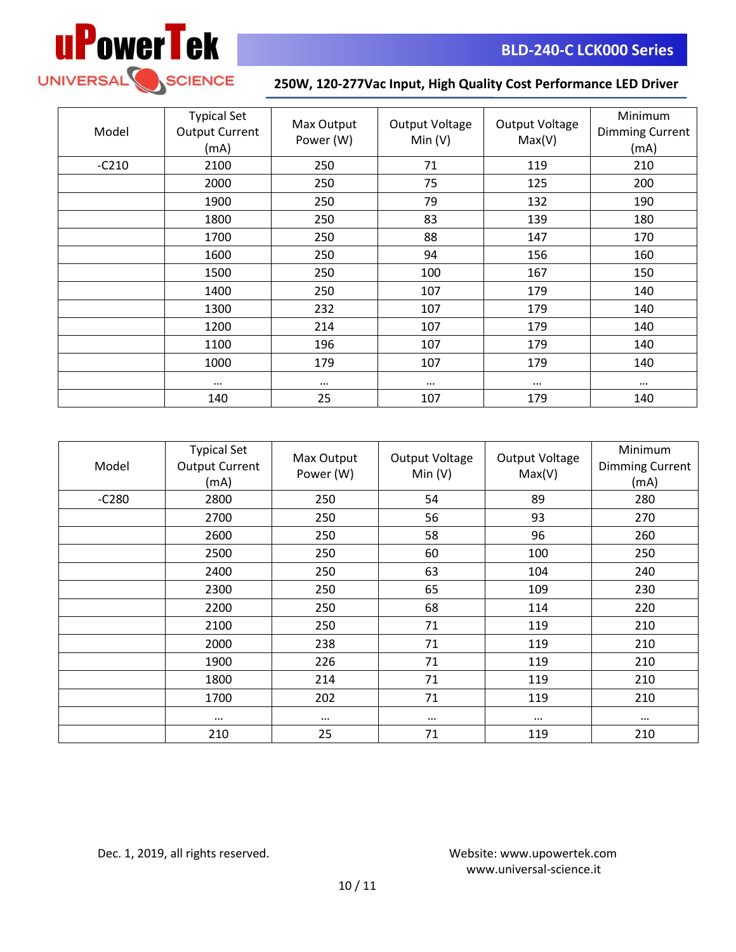

| Model   | <b>Typical Set</b><br><b>Output Current</b><br>(mA) | Max Output<br>Power (W) | <b>Output Voltage</b><br>Min $(V)$ | Output Voltage<br>Max(V) | Minimum<br>Dimming Current<br>(mA) |
|---------|-----------------------------------------------------|-------------------------|------------------------------------|--------------------------|------------------------------------|
| $-C210$ | 2100                                                | 250                     | 71                                 | 119                      | 210                                |
|         | 2000                                                | 250                     | 75                                 | 125                      | 200                                |
|         | 1900                                                | 250                     | 79                                 | 132                      | 190                                |
|         | 1800                                                | 250                     | 83                                 | 139                      | 180                                |
|         | 1700                                                | 250                     | 88                                 | 147                      | 170                                |
|         | 1600                                                | 250                     | 94                                 | 156                      | 160                                |
|         | 1500                                                | 250                     | 100                                | 167                      | 150                                |
|         | 1400                                                | 250                     | 107                                | 179                      | 140                                |
|         | 1300                                                | 232                     | 107                                | 179                      | 140                                |
|         | 1200                                                | 214                     | 107                                | 179                      | 140                                |
|         | 1100                                                | 196                     | 107                                | 179                      | 140                                |
|         | 1000                                                | 179                     | 107                                | 179                      | 140                                |
|         | $\cdots$                                            | $\cdots$                | $\cdots$                           |                          | $\cdots$                           |
|         | 140                                                 | 25                      | 107                                | 179                      | 140                                |

| Model   | <b>Typical Set</b><br><b>Output Current</b><br>(mA) | Max Output<br>Power (W) | Output Voltage<br>Min(V) | Output Voltage<br>Max(V) | Minimum<br><b>Dimming Current</b><br>(mA) |
|---------|-----------------------------------------------------|-------------------------|--------------------------|--------------------------|-------------------------------------------|
| $-C280$ | 2800                                                | 250                     | 54                       | 89                       | 280                                       |
|         | 2700                                                | 250                     | 56                       | 93                       | 270                                       |
|         | 2600                                                | 250                     | 58                       | 96                       | 260                                       |
|         | 2500                                                | 250                     | 60                       | 100                      | 250                                       |
|         | 2400                                                | 250                     | 63                       | 104                      | 240                                       |
|         | 2300                                                | 250                     | 65                       | 109                      | 230                                       |
|         | 2200                                                | 250                     | 68                       | 114                      | 220                                       |
|         | 2100                                                | 250                     | 71                       | 119                      | 210                                       |
|         | 2000                                                | 238                     | 71                       | 119                      | 210                                       |
|         | 1900                                                | 226                     | 71                       | 119                      | 210                                       |
|         | 1800                                                | 214                     | 71                       | 119                      | 210                                       |
|         | 1700                                                | 202                     | 71                       | 119                      | 210                                       |
|         | $\cdots$                                            | $\cdots$                | $\cdots$                 | $\cdots$                 | $\cdots$                                  |
|         | 210                                                 | 25                      | 71                       | 119                      | 210                                       |